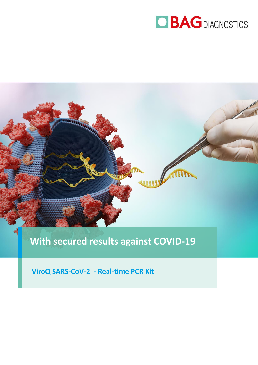



## **With secured results against COVID-19**

**ViroQ SARS-CoV-2 - Real-time PCR Kit**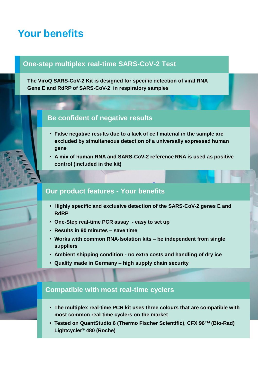## **Your benefits**

### **One-step multiplex real-time SARS-CoV-2 Test**

**The ViroQ SARS-CoV-2 Kit is designed for specific detection of viral RNA Gene E and RdRP of SARS-CoV-2 in respiratory samples** 

### **Be confident of negative results**

- **False negative results due to a lack of cell material in the sample are excluded by simultaneous detection of a universally expressed human gene**
- **A mix of human RNA and SARS-CoV-2 reference RNA is used as positive control (included in the kit)**

### **Our product features - Your benefits**

- **Highly specific and exclusive detection of the SARS-CoV-2 genes E and RdRP**
- **One-Step real-time PCR assay - easy to set up**
- **Results in 90 minutes – save time**
- **Works with common RNA-Isolation kits – be independent from single suppliers**
- **Ambient shipping condition - no extra costs and handling of dry ice**
- **Quality made in Germany – high supply chain security**

### **Compatible with most real-time cyclers**

- **The multiplex real-time PCR kit uses three colours that are compatible with most common real-time cyclers on the market**
- **Tested on QuantStudio 6 (Thermo Fischer Scientific), CFX 96TM (Bio-Rad) Lightcycler® 480 (Roche)**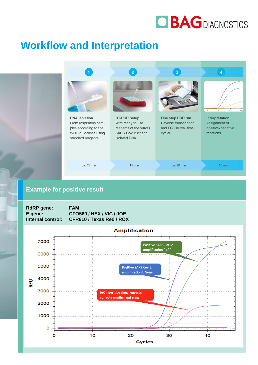

## **Workflow and Interpretation**



### **Example for positive result**